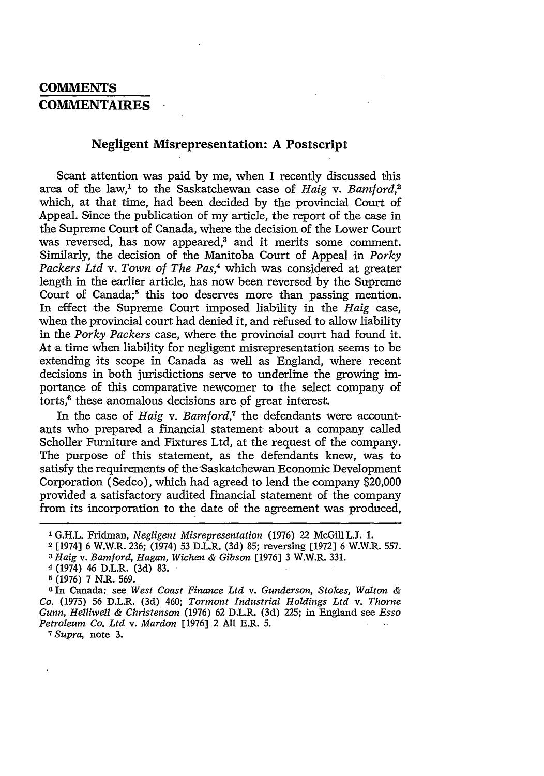## **COMMENTS COMMENTAIRES**

## **Negligent Misrepresentation: A Postscript**

Scant attention was paid by me, when I recently discussed this area of the law,' to the Saskatchewan case of *Haig v. Bamford,2* which, at that time, had been decided by the provincial Court of Appeal. Since the publication of my article, the report of the case in the Supreme Court of Canada, where the decision of the Lower Court was reversed, has now appeared,<sup>3</sup> and it merits some comment. Similarly, the decision of the Manitoba Court of Appeal in *Porky* Packers Ltd v. Town of The Pas,<sup>4</sup> which was considered at greater length in the earlier article, has now been reversed by the Supreme Court of Canada;<sup>5</sup> this too deserves more than passing mention. In effect the Supreme Court imposed liability in the *Haig* case, when the provincial court had denied it, and refused to allow liability in the *Porky Packers* case, where the provincial court had found it. At a time when liability for negligent misrepresentation seems to be extending its scope in Canada as well as England, where recent decisions in both jurisdictions serve to underline the growing importance of this comparative newcomer to the select company of torts,<sup>6</sup> these anomalous decisions are of great interest.

In the case of *Haig v. Bamford,"* the defendants were accountants who prepared a financial statement about a company called Scholler Furniture and Fixtures Ltd, at the request of the company. The purpose of this statement, as the defendants knew, was to satisfy the requirements of the'Saskatchewan Economic Development Corporation (Sedco), which had agreed to lend the company \$20,000 provided a satisfactory audited financial statement of the company from its incorporation to the date of the agreement was produced,

*<sup>7</sup> Supra,* note 3.

**<sup>1</sup>** G.H.L. Fridman, *Negligent Misrepresentation* (1976) 22 McGill **LJ.** 1.

<sup>2</sup> [1974] 6 W.W.R. 236; (1974) 53 D.L.R. (3d) 85; reversing [1972] 6 W.W.R. 557.

*<sup>3</sup> Haig v. Bamford, Hagan, Wichen & Gibson* [1976] 3 W.W.R. 331.

**<sup>4</sup>** (1974) 46 D.L.R. (3d) 83.

r (1976) 7 N.R. 569.

**<sup>0</sup>** In Canada: see *West Coast Finance Ltd v. Gunderson, Stokes, Walton & Co.* (1975) 56 D.L.R. (3d) 460; *Tormont Industrial Holdings Ltd v. Thorne Gunn, Helliwell & Christenson* (1976) 62 D.L.R. (3d) 225; in England see *Esso Petroleum Co. Ltd v. Mardon* [1976] 2 All E.R. 5.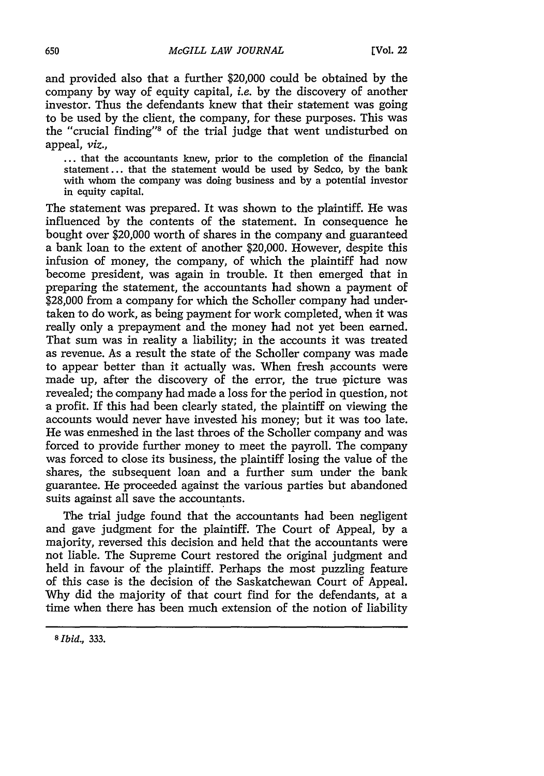and provided also that a further \$20,000 could be obtained by the company by way of equity capital, *i.e.* by the discovery of another investor. Thus the defendants knew that their statement was going to be used by the client, the company, for these purposes. This was the "crucial finding"8 of the trial judge that went undisturbed on appeal, *viz.,*

... that the accountants knew, prior to the completion of the financial statement... that the statement would be used by Sedco, by the bank with whom the company was doing business and by a potential investor in equity capital.

The statement was prepared. It was shown to the plaintiff. He was influenced by the contents of the statement. In consequence he bought over \$20,000 worth of shares in the company and guaranteed a bank loan to the extent of another \$20,000. However, despite this infusion of money, the company, of which the plaintiff had now become president, was again in trouble. It then emerged that in preparing the statement, the accountants had shown a payment of \$28,000 from a company for which the Scholler company had undertaken to do work, as being payment for work completed, when it was really only a prepayment and the money had not yet been earned. That sum was in reality a liability; in the accounts it was treated as revenue. As a result the state of the Scholler company was made to appear better than it actually was. When fresh accounts were made up, after the discovery of the error, the true picture was revealed; the company had made a loss for the period in question, not a profit. If this had been clearly stated, the plaintiff on viewing the accounts would never have invested his money; but it was too late. He was enmeshed in the last throes of the Scholler company and was forced to provide further money to meet the payroll. The company was forced to close its business, the plaintiff losing the value of the shares, the subsequent loan and a further sum under the bank guarantee. He proceeded against the various parties but abandoned suits against all save the accountants.

The trial judge found that the accountants had been negligent and gave judgment for the plaintiff. The Court of Appeal, by a majority, reversed this decision and held that the accountants were not liable. The Supreme Court restored the original judgment and held in favour of the plaintiff. Perhaps the most puzzling feature of this case is the decision of the Saskatchewan Court of Appeal. Why did the majority of that court find for the defendants, at a time when there has been much extension of the notion of liability

*<sup>8</sup> Ibid.,* **333.**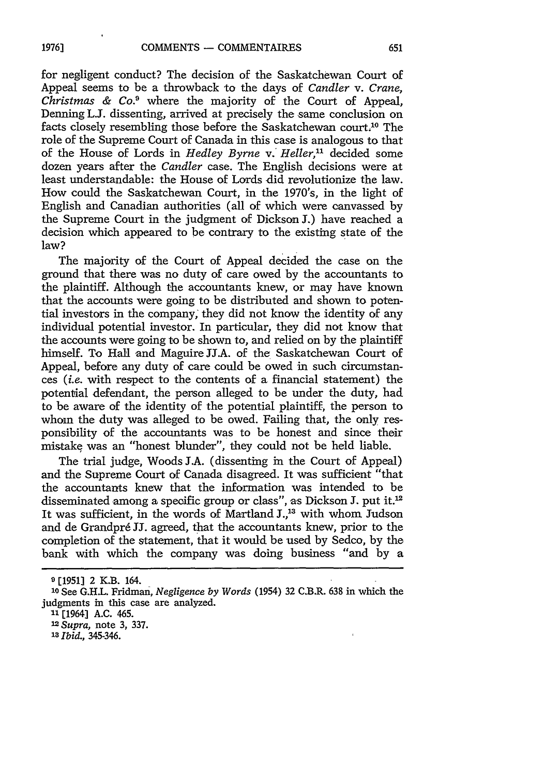for negligent conduct? The decision of the Saskatchewan Court of Appeal seems to be a throwback to the days of *Candler v. Crane, Christmas & Co.9* where the majority of the Court of Appeal, Denning L.I. dissenting, arrived at precisely the same conclusion on facts closely resembling those before the Saskatchewan court.<sup>10</sup> The role of the Supreme Court of Canada in this case is analogous to that of the House of Lords in *Hedley Byrne v. Heller,"l* decided some dozen years after the *Candler* case. The English decisions were at least understandable: the House of Lords did revolutionize the law. How could the Saskatchewan Court, in the 1970's, in the light of English and Canadian authorities (all of which were canvassed by the Supreme Court in the judgment of Dickson **J.)** have reached a decision which appeared to be contrary to the existing state of the law?

The majority of the Court of Appeal decided the case on the ground that there was no duty of care owed by the accountants to the plaintiff. Although the accountants knew, or may have known that the accounts were going to be distributed and shown to potential investors in the company; they did not know the identity of any individual potential investor. In particular, they did not know that the accounts were going to be shown to, and relied on by the plaintiff himself. To Hall and Maguire JJ.A. of the Saskatchewan Court of Appeal, before any duty of care could be owed in such circumstances *(i.e.* with respect to the contents of a financial statement) the potential defendant, the person alleged to be under the duty, had to be aware of the identity of the potential plaintiff, the person to whom the duty was alleged to be owed. Failing that, the only responsibility of the accountants was to be honest and since their mistake was an "honest blunder", they could not be held liable.

The trial judge, Woods J.A. (dissenting in the Court of Appeal) and the Supreme Court of Canada disagreed. It was sufficient "that the accountants knew that the information was intended to be disseminated among a specific group or class", as Dickson J. put it.<sup>12</sup> It was sufficient, in the words of Martland **J.,13** with whom Judson and de Grandpré JJ. agreed, that the accountants knew, prior to the completion of the statement, that it would be used by Sedco, by the bank with which the company was doing business "and by a

**<sup>9</sup> [19513** 2 K.B. 164.

**<sup>10</sup>**See G.H.L. Fridman, *Negligence by Words* (1954) 32 C.B.R. 638 in which the judgments in this case are analyzed.

**<sup>&</sup>quot;1** [1964] A.C. 465.

*<sup>12</sup> Supra,* note 3, 337.

**<sup>13</sup>***Ibid.,* 345-346.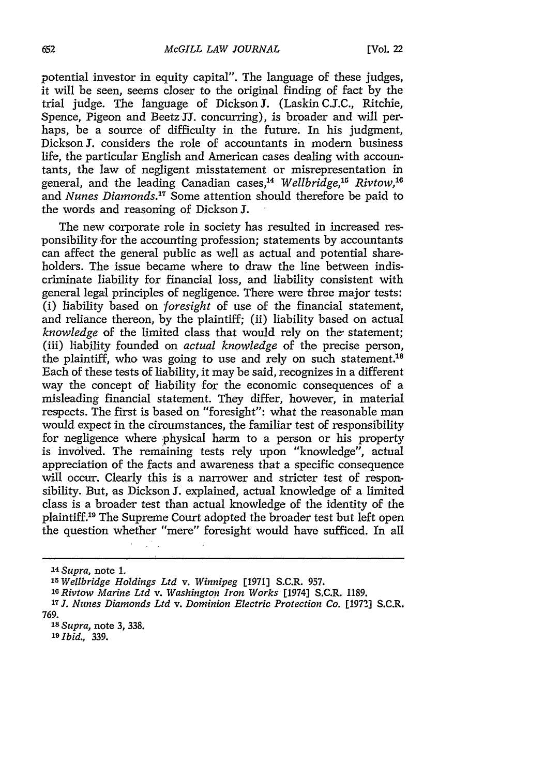potential investor in equity capital". The language of these judges, it will be seen, seems closer to the original finding of fact by the trial judge. The language of Dickson **J.** (Laskin C.J.C., Ritchie, Spence, Pigeon and Beetz **JJ.** concurring), is broader and will perhaps, be a source of difficulty in the future. In his judgment, Dickson **J.** considers the role of accountants in modern business life, the particular English and American cases dealing with accountants, the law of negligent misstatement or misrepresentation in general, and the leading Canadian cases,<sup>14</sup> Wellbridge,<sup>15</sup> Rivtow,<sup>16</sup> and *Nunes Diamonds*.<sup>17</sup> Some attention should therefore be paid to the words and reasoning of Dickson **J.**

The new corporate role in society has resulted in increased responsibility for the accounting profession; statements by accountants can affect the general public as well as actual and potential shareholders. The issue became where to draw the line between indiscriminate liability for financial loss, and liability consistent with general legal principles of negligence. There were three major tests: (i) liability based on *foresight* of use of the financial statement, and reliance thereon, by the plaintiff; (ii) liability based on actual *knowledge* of the limited class that would rely on the statement; (iii) liability founded on *actual knowledge* of the precise person, the plaintiff, who was going to use and rely on such statement.<sup>18</sup> Each of these tests of liability, it may be said, recognizes in a different way the concept of liability for the economic consequences of a misleading financial statement. They differ, however, in material respects. The first is based on "foresight": what the reasonable man would expect in the circumstances, the familiar test of responsibility for negligence where physical harm to a person or his property is involved. The remaining tests rely upon "knowledge", actual appreciation of the facts and awareness that a specific consequence will occur. Clearly this is a narrower and stricter test of responsibility. But, as Dickson J. explained, actual knowledge of a limited class is a broader test than actual knowledge of the identity of the plaintiff.<sup>19</sup> The Supreme Court adopted the broader test but left open the question whether "mere" foresight would have sufficed. In all

<sup>14</sup>*Supra,* note 1.

**<sup>15</sup>***WelIbridge Holdings Ltd v. Winnipeg* [1971] S.C.R. 957.

**<sup>-1</sup>** *Rivtow Marine Ltd v. Washington Iron Works* [1974] S.C.R. 1189.

**<sup>17</sup>***J. Nunes Diamonds Ltd v. Dominion Electric Protection Co.* [1972] S.C.R. 769.

**<sup>18</sup>***Supra,* note 3, 338.

**<sup>19</sup>***Ibid.,* 339.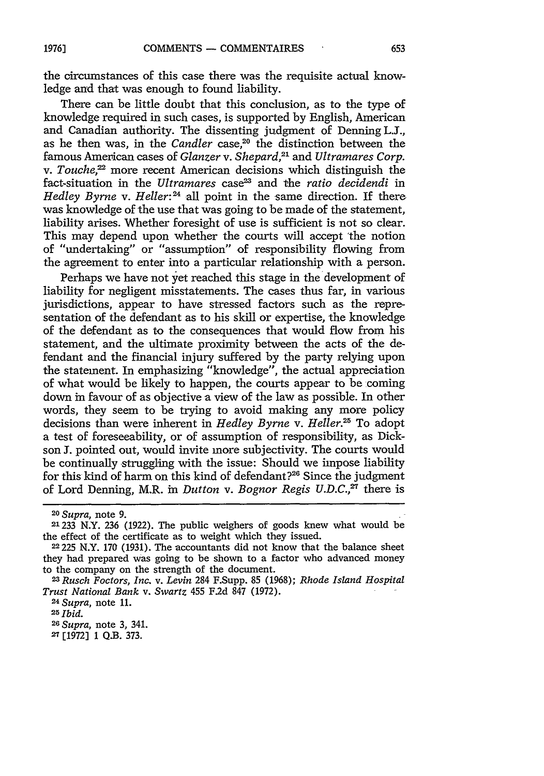the circumstances of this case there was the requisite actual knowledge and that was enough to found liability.

There can be little doubt that this conclusion, as to the type of knowledge required in such cases, is supported by English, American and Canadian authority. The dissenting judgment of Denning L.J., as he then was, in the *Candler* case,<sup>20</sup> the distinction between the famous American cases of *Glanzer* v. *Shepard,21* and *Ultramares Corp. v. Touche,2* more recent American decisions which distinguish the fact-situation in the *Ultramares* case<sup>23</sup> and the *ratio decidendi* in *Hedley Byrne* v. *Heller:24* all point in the same direction. If there was knowledge of the use that was going to be made of the statement, liability arises. Whether foresight of use is sufficient is not so clear. This may depend upon whether the courts will accept 'the notion of "undertaking" or "assumption" of responsibility flowing from the agreement to enter into a particular relationship with a person.

Perhaps we have not yet reached this stage in the development of liability for negligent misstatements. The cases thus far, in various jurisdictions, appear to have stressed factors such as the representation of the defendant as to his skill or expertise, the knowledge of the defendant as to the consequences that would flow from his statement, and the ultimate proximity between the acts of the defendant and the financial injury suffered by the party relying upon the statement. In emphasizing "knowledge", the actual appreciation of what would be likely to happen, the courts appear to be coming down in favour of as objective a view of the law as possible. In other words, they seem to be trying to avoid making any more policy decisions than were inherent in *Hedley Byrne v. Heller.25* To adopt a test of foreseeability, or of assumption of responsibility, as Dickson J. pointed out, would invite more subjectivity. The courts would be continually struggling with the issue: Should we impose liability for this kind of harm on this kind of defendant?<sup>26</sup> Since the judgment of Lord Denning, M.R. in *Dutton v. Bognor Regis U.D.C.*<sup>27</sup> there is

*<sup>20</sup>Supra,* note **9.**

**<sup>21233</sup>** N.Y. **236** (1922). The public weighers of goods knew what would be the effect of the certificate as to weight which they issued.

**<sup>22225</sup>** N.Y. 170 (1931). The accountants did not know that the balance sheet they had prepared was going to be shown to a factor who advanced money to the company on the strength of the document.

*<sup>23</sup>Rusch Foctors, Inc. v. Levin* 284 F.Supp. 85 (1968); *Rhode Island Hospital Trust National Bank v. Swartz* 455 **F.2d** 847 (1972).

*<sup>24</sup>Supra,* note **11.**

**<sup>25</sup>***Ibid.*

*<sup>26</sup>Supra,* note 3, 341.

**<sup>27</sup>**[1972] **1** Q.B. 373.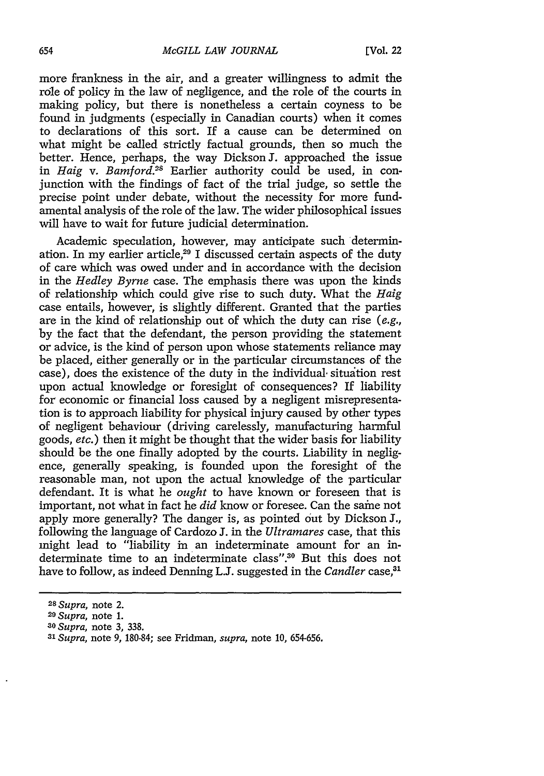more frankness in the air, and a greater willingness to admit the role of policy in the law of negligence, and the role of the courts in making policy, but there is nonetheless a certain coyness to be found in judgments (especially in Canadian courts) when it comes to declarations of this sort. If a cause can be determined on what might be called strictly factual grounds, then so much the better. Hence, perhaps, the way Dickson J. approached the issue in *Haig v. Bamford.<sup>28</sup>* Earlier authority could be used, in conjunction with the findings of fact of the trial judge, so settle the precise point under debate, without the necessity for more fundamental analysis of the role of the law. The wider philosophical issues will have to wait for future judicial determination.

Academic speculation, however, may anticipate such determination. In my earlier article,<sup>29</sup> I discussed certain aspects of the duty of care which was owed under and in accordance with the decision in the *Hedley Byrne* case. The emphasis there was upon the kinds of relationship which could give rise to such duty. What the *Haig* case entails, however, is slightly different. Granted that the parties are in the kind of relationship out of which the duty can rise *(e.g.,* by the fact that the defendant, the person providing the statement or advice, is the kind of person upon whose statements reliance may be placed, either generally or in the particular circumstances of the case), does the existence of the duty in the individual situation rest upon actual knowledge or foresight of consequences? If liability for economic or financial loss caused by a negligent misrepresentation is to approach liability for physical injury caused by other types of negligent behaviour (driving carelessly, manufacturing harmful goods, *etc.)* then it might be thought that the wider basis for liability should be the one finally adopted by the courts. Liability in negligence, generally speaking, is founded upon the foresight of the reasonable man, not upon the actual knowledge of the particular defendant. It is what he *ought* to have known or foreseen that is important, not what in fact he *did* know or foresee. Can the same not apply more generally? The danger is, as pointed out by Dickson **J.,** following the language of Cardozo **J.** in the *Ultramares* case, that this might lead to "liability in an indeterminate amount for an indeterminate time to an indeterminate class".30 But this does not have to follow, as indeed Denning L.J. suggested in the *Candler* case.<sup>31</sup>

*<sup>2</sup> <sup>8</sup>Supra,* note 2.

*<sup>2</sup> 9 Supra,* note 1.

*<sup>30</sup>Supra,* note 3, 338.

*<sup>31</sup>Supra,* note *9,* 180-84; see Fridman, *supra,* note 10, 654-656.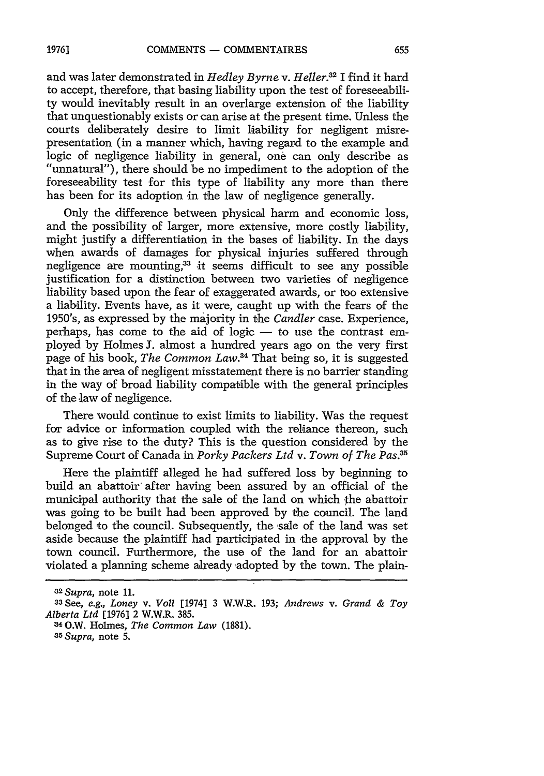and was later demonstrated in *Hedley Byrne v. Heller*.<sup>32</sup> I find it hard to accept, therefore, that basing liability upon the test of foreseeability would inevitably result in an overlarge extension of the liability that unquestionably exists or can arise at the present time. Unless the courts deliberately desire to limit liability for negligent misrepresentation (in a manner which, having regard to the example and logic of negligence liability in general, one can only describe as "unnatural"), there should be no impediment to the adoption of the foreseeability test for this type of liability any more than there has been for its adoption in the law of negligence generally.

Only the difference between physical harm and economic loss, and the possibility of larger, more extensive, more costly liability, might justify a differentiation in the bases of liability. In the days when awards of damages for physical injuries suffered through negligence are mounting.<sup>33</sup> it seems difficult to see any possible justification for a distinction between two varieties of negligence liability based upon the fear of exaggerated awards, or too extensive a liability. Events have, as it were, caught up with the fears of the 1950's, as expressed by the majority in the *Candler* case. Experience, perhaps, has come to the aid of logic - to use the contrast employed by Holmes J. almost a hundred years ago on the very first page of his book, *The Common Law.4* That being so, it is suggested that in the area of negligent misstatement there is no barrier standing in the way of broad liability compatible with the general principles of the law of negligence.

There would continue to exist limits to liability. Was the request for advice or information coupled with the reliance thereon, such as to give rise to the duty? This is the question considered by the Supreme Court of Canada in *Porky Packers Ltd v. Town of The Pas.35*

Here the plaintiff alleged he had suffered loss by beginning to build an abattoir after having been assured by an official of the municipal authority that the sale of the land on which the abattoir was going to be built had been approved by the council. The land belonged to the council. Subsequently, the sale of the land was set aside because the plaintiff had participated in the approval by the town council. Furthermore, the use of the land for an abattoir violated a planning scheme already adopted by the town. The plain-

*<sup>32</sup> Supra,* note 11.

<sup>33</sup> See, *e.g., Loney v.* Voll [1974] 3 W.W.R. 193; *Andrews v. Grand & Toy Alberta Ltd* [1976] 2 W.W.R. 385.

<sup>34</sup>O.W. Holmes, *The Common Law* (1881). 3 *Supra,* note **5.**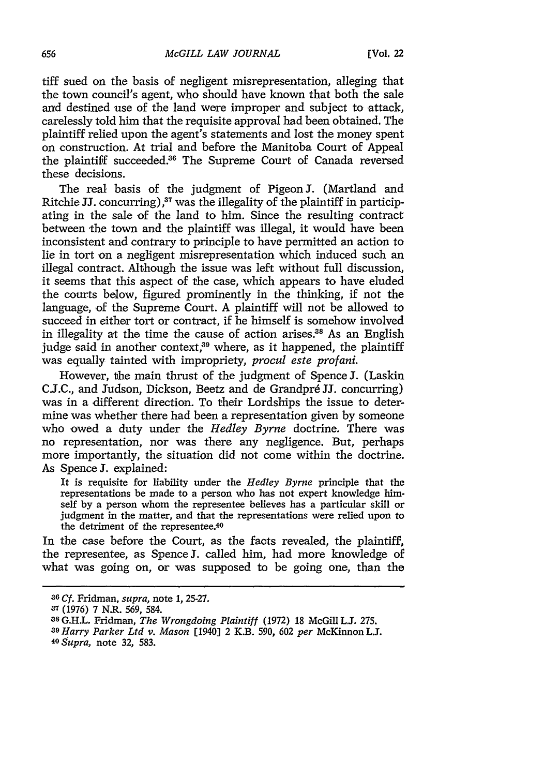tiff sued on the basis of negligent misrepresentation, alleging that the town council's agent, who should have known that both the sale and destined use of the land were improper and subject to attack, carelessly told him that the requisite approval had been obtained. The plaintiff relied upon the agent's statements and lost the money spent on construction. At trial and before the Manitoba Court of Appeal the plaintiff succeeded. 6 The Supreme Court of Canada reversed these decisions.

The real basis of the judgment of Pigeon J. (Martland and Ritchie JJ. concurring),<sup>37</sup> was the illegality of the plaintiff in participating in the sale of the land to him. Since the resulting contract between the town and the plaintiff was illegal, it would have been inconsistent and contrary to principle to have permitted an action to lie in tort on a negligent misrepresentation which induced such an illegal contract. Although the issue was left without full discussion, it seems that this aspect of the case, which appears to have eluded the courts below, figured prominently in the thinking, **if** not the language, of the Supreme Court. **A** plaintiff will not be allowed to succeed in either tort or contract, if he himself is somehow involved in illegality at the time the cause of action arises.<sup>38</sup> As an English judge said in another context,<sup>39</sup> where, as it happened, the plaintiff was equally tainted with impropriety, *procul este profani.*

However, the main thrust of the judgment of Spence **J.** (Laskin **C.J.C.,** and Judson, Dickson, Beetz and de Grandpr6 **JJ.** concurring) was in a different direction. To their Lordships the issue to determine was whether there had been a representation given **by** someone who owed a duty under the *Hedley Byrne* doctrine. There was no representation, nor was there any negligence. But, perhaps more importantly, the situation did not come within the doctrine. As Spence **3.** explained:

It is requisite for liability under the *Hedley Byrne* principle that the representations be made to a person who has not expert knowledge himself **by** a person whom the representee believes has a particular skill or judgment in the matter, and that the representations were relied upon to the detriment of the representee.<sup>40</sup>

In the case before the Court, as the faots revealed, the plaintiff, the representee, as Spence **J.** called him, had more knowledge of what was going on, or was supposed to be going one, than the

**<sup>36</sup>***Cf.* Fridman, *supra,* note **1, 25-27.**

**<sup>37 (1976) 7</sup>** N.R. **569,** 584.

**<sup>38</sup> G.H.L.** Fridman, *The Wrongdoing Plaintiff* **(1972) 18** McGill **L.. 275.**

*<sup>3</sup> <sup>9</sup>Harry Parker Ltd v. Mason* [1940] 2 K.B. **590, 602** *per* McKinnon **L.J.** *<sup>40</sup> Supra,* note **32, 583.**